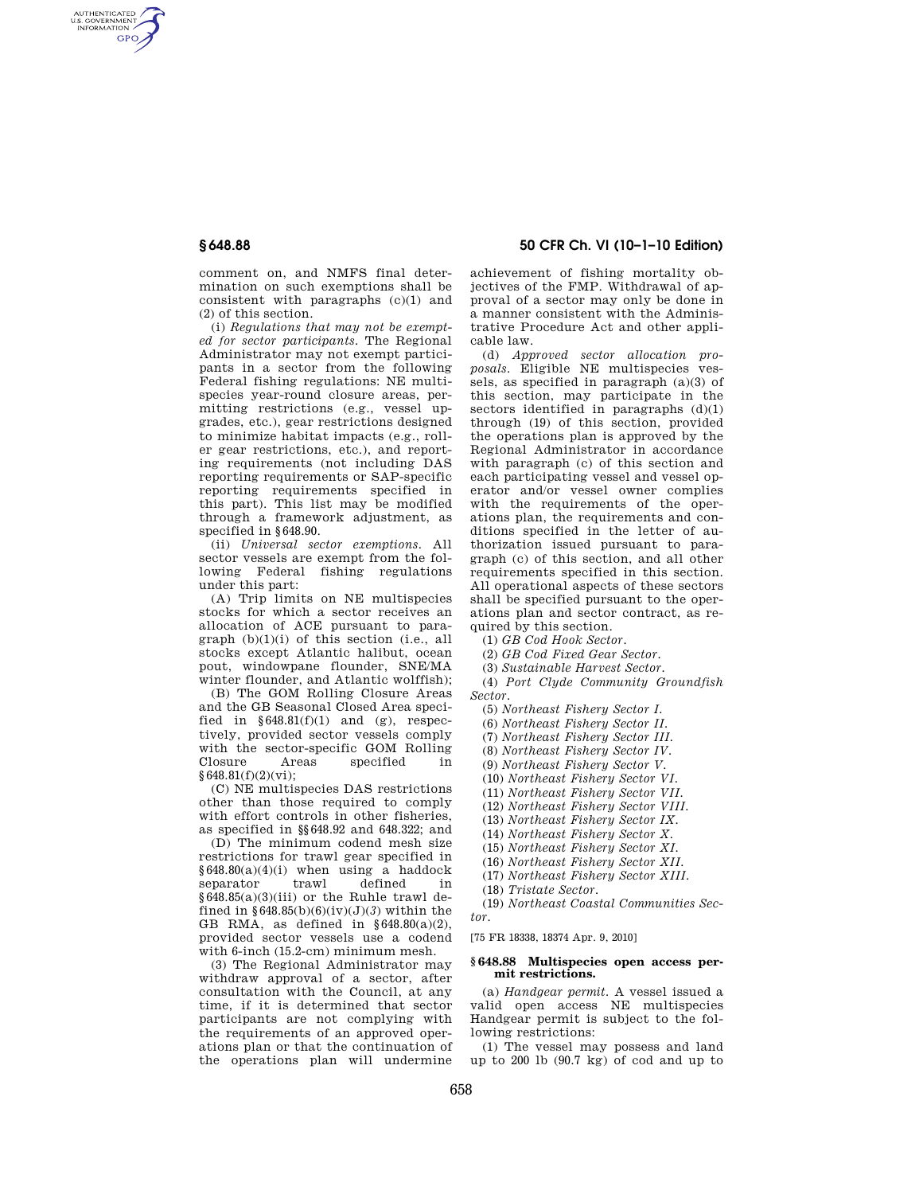AUTHENTICATED<br>U.S. GOVERNMENT<br>INFORMATION **GPO** 

> comment on, and NMFS final determination on such exemptions shall be consistent with paragraphs (c)(1) and (2) of this section.

> (i) *Regulations that may not be exempted for sector participants.* The Regional Administrator may not exempt participants in a sector from the following Federal fishing regulations: NE multispecies year-round closure areas, permitting restrictions (e.g., vessel upgrades, etc.), gear restrictions designed to minimize habitat impacts (e.g., roller gear restrictions, etc.), and reporting requirements (not including DAS reporting requirements or SAP-specific reporting requirements specified in this part). This list may be modified through a framework adjustment, as specified in §648.90.

> (ii) *Universal sector exemptions.* All sector vessels are exempt from the following Federal fishing regulations under this part:

> (A) Trip limits on NE multispecies stocks for which a sector receives an allocation of ACE pursuant to paragraph (b)(1)(i) of this section (i.e., all stocks except Atlantic halibut, ocean pout, windowpane flounder, SNE/MA winter flounder, and Atlantic wolffish);

> (B) The GOM Rolling Closure Areas and the GB Seasonal Closed Area specified in  $§648.81(f)(1)$  and  $(g)$ , respectively, provided sector vessels comply with the sector-specific GOM Rolling<br>Closure Areas specified in Areas specified in §648.81(f)(2)(vi);

(C) NE multispecies DAS restrictions other than those required to comply with effort controls in other fisheries, as specified in §§648.92 and 648.322; and

(D) The minimum codend mesh size restrictions for trawl gear specified in §648.80(a)(4)(i) when using a haddock separator trawl defined in  $§648.85(a)(3)(iii)$  or the Ruhle trawl defined in  $§648.85(b)(6)(iv)(J)(3)$  within the GB RMA, as defined in §648.80(a)(2), provided sector vessels use a codend with 6-inch (15.2-cm) minimum mesh.

(3) The Regional Administrator may withdraw approval of a sector, after consultation with the Council, at any time, if it is determined that sector participants are not complying with the requirements of an approved operations plan or that the continuation of the operations plan will undermine

# **§ 648.88 50 CFR Ch. VI (10–1–10 Edition)**

achievement of fishing mortality objectives of the FMP. Withdrawal of approval of a sector may only be done in a manner consistent with the Administrative Procedure Act and other applicable law.

(d) *Approved sector allocation proposals.* Eligible NE multispecies vessels, as specified in paragraph (a)(3) of this section, may participate in the sectors identified in paragraphs  $(d)(1)$ through (19) of this section, provided the operations plan is approved by the Regional Administrator in accordance with paragraph (c) of this section and each participating vessel and vessel operator and/or vessel owner complies with the requirements of the operations plan, the requirements and conditions specified in the letter of authorization issued pursuant to paragraph (c) of this section, and all other requirements specified in this section. All operational aspects of these sectors shall be specified pursuant to the operations plan and sector contract, as required by this section.

(1) *GB Cod Hook Sector.* 

(2) *GB Cod Fixed Gear Sector.* 

(3) *Sustainable Harvest Sector.* 

(4) *Port Clyde Community Groundfish Sector.* 

(5) *Northeast Fishery Sector I.* 

(6) *Northeast Fishery Sector II.* 

(7) *Northeast Fishery Sector III.* 

(8) *Northeast Fishery Sector IV.* 

(9) *Northeast Fishery Sector V.* 

(10) *Northeast Fishery Sector VI.* 

(11) *Northeast Fishery Sector VII.* 

(12) *Northeast Fishery Sector VIII.* 

(13) *Northeast Fishery Sector IX.* 

(14) *Northeast Fishery Sector X.* 

(15) *Northeast Fishery Sector XI.* 

(16) *Northeast Fishery Sector XII.* 

(17) *Northeast Fishery Sector XIII.* 

(18) *Tristate Sector.* 

(19) *Northeast Coastal Communities Sector.* 

[75 FR 18338, 18374 Apr. 9, 2010]

### **§ 648.88 Multispecies open access permit restrictions.**

(a) *Handgear permit.* A vessel issued a valid open access NE multispecies Handgear permit is subject to the following restrictions:

(1) The vessel may possess and land up to 200 lb (90.7 kg) of cod and up to